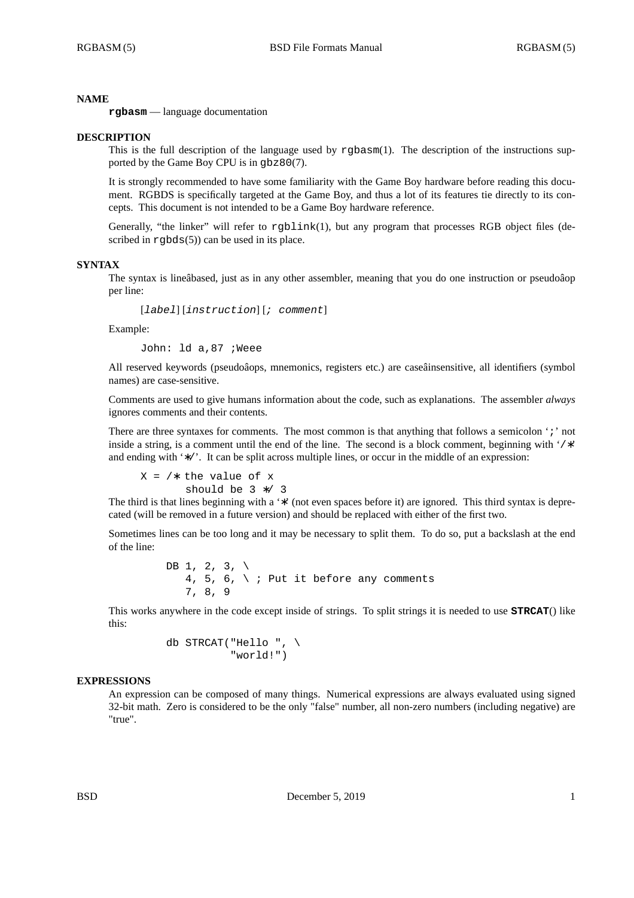## **NAME**

**rgbasm** — language documentation

### **DESCRIPTION**

This is the full description of the language used by rgbasm(1). The description of the instructions supported by the Game Boy CPU is in gbz80(7).

It is strongly recommended to have some familiarity with the Game Boy hardware before reading this document. RGBDS is specifically targeted at the Game Boy, and thus a lot of its features tie directly to its concepts. This document is not intended to be a Game Boy hardware reference.

Generally, "the linker" will refer to rgblink(1), but any program that processes RGB object files (described in  $rgbds(5)$  can be used in its place.

## **SYNTAX**

The syntax is lineâbased, just as in any other assembler, meaning that you do one instruction or pseudoâop per line:

[*label*] [*instruction*] [*; comment*]

Example:

John: ld a,87 ;Weee

All reserved keywords (pseudoâops, mnemonics, registers etc.) are caseâinsensitive, all identifiers (symbol names) are case-sensitive.

Comments are used to give humans information about the code, such as explanations. The assembler *always* ignores comments and their contents.

There are three syntaxes for comments. The most common is that anything that follows a semicolon ';' not inside a string, is a comment until the end of the line. The second is a block comment, beginning with '/∗' and ending with '∗/'. It can be split across multiple lines, or occur in the middle of an expression:

 $X = \sqrt{*}$  the value of x should be 3 ∗/ 3

The third is that lines beginning with a '\*' (not even spaces before it) are ignored. This third syntax is deprecated (will be removed in a future version) and should be replaced with either of the first two.

Sometimes lines can be too long and it may be necessary to split them. To do so, put a backslash at the end of the line:

> DB 1, 2, 3,  $\backslash$ 4, 5, 6,  $\backslash$  ; Put it before any comments 7, 8, 9

This works anywhere in the code except inside of strings. To split strings it is needed to use **STRCAT**() like this:

> db STRCAT("Hello ",  $\setminus$ "world!")

## **EXPRESSIONS**

An expression can be composed of many things. Numerical expressions are always evaluated using signed 32-bit math. Zero is considered to be the only "false" number, all non-zero numbers (including negative) are "true".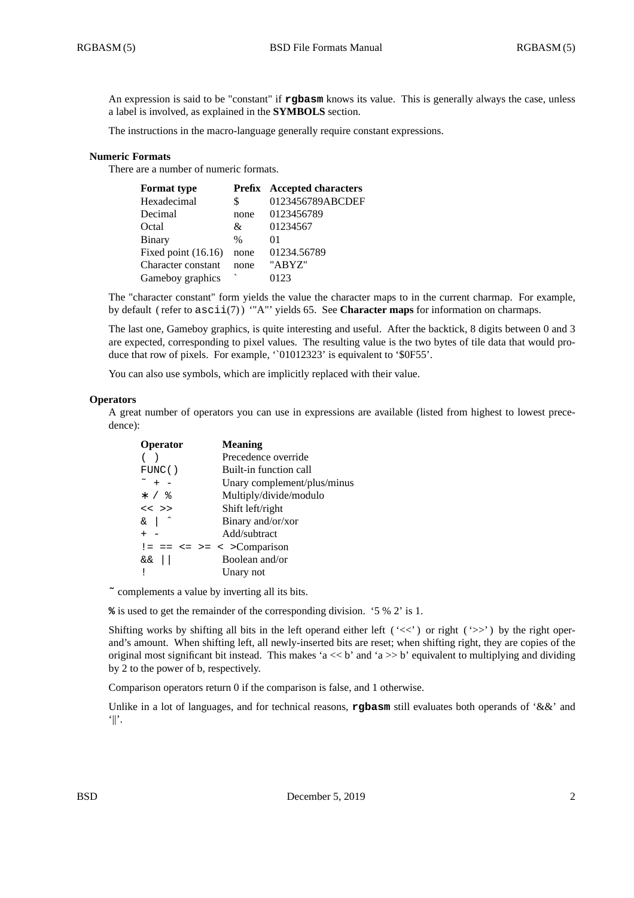An expression is said to be "constant" if **rgbasm** knows its value. This is generally always the case, unless a label is involved, as explained in the **SYMBOLS** section.

The instructions in the macro-language generally require constant expressions.

# **Numeric Formats**

There are a number of numeric formats.

| <b>Format type</b>  |      | <b>Prefix</b> Accepted characters |
|---------------------|------|-----------------------------------|
| Hexadecimal         | \$   | 0123456789ABCDEF                  |
| Decimal             | none | 0123456789                        |
| Octal               | &    | 01234567                          |
| Binary              | $\%$ | 01                                |
| Fixed point (16.16) | none | 01234.56789                       |
| Character constant  | none | "ABYZ"                            |
| Gameboy graphics    |      | 0123                              |
|                     |      |                                   |

The "character constant" form yields the value the character maps to in the current charmap. For example, by default ( refer to ascii(7) ) '"A"' yields 65. See **Character maps** for information on charmaps.

The last one, Gameboy graphics, is quite interesting and useful. After the backtick, 8 digits between 0 and 3 are expected, corresponding to pixel values. The resulting value is the two bytes of tile data that would produce that row of pixels. For example, '`01012323' is equivalent to '\$0F55'.

You can also use symbols, which are implicitly replaced with their value.

# **Operators**

A great number of operators you can use in expressions are available (listed from highest to lowest precedence):

| <b>Operator</b>     | <b>Meaning</b>               |
|---------------------|------------------------------|
|                     | Precedence override          |
| FUNC()              | Built-in function call       |
| $\tilde{}$ + -      | Unary complement/plus/minus  |
| $*$ / $\frac{9}{6}$ | Multiply/divide/modulo       |
| $<<$ >>             | Shift left/right             |
| $\&$                | Binary and/or/xor            |
| $+ -$               | Add/subtract                 |
|                     | $!= == <= >= < >$ Comparison |
| &&                  | Boolean and/or               |
|                     | Unary not                    |

**˜** complements a value by inverting all its bits.

**%** is used to get the remainder of the corresponding division. '5 % 2' is 1.

Shifting works by shifting all bits in the left operand either left ( $\langle \langle \langle \rangle \rangle$  or right ( $\langle \rangle$ ) by the right operand's amount. When shifting left, all newly-inserted bits are reset; when shifting right, they are copies of the original most significant bit instead. This makes 'a  $<< b$ ' and 'a  $>> b$ ' equivalent to multiplying and dividing by 2 to the power of b, respectively.

Comparison operators return 0 if the comparison is false, and 1 otherwise.

Unlike in a lot of languages, and for technical reasons, **rgbasm** still evaluates both operands of '&&' and  $||$ .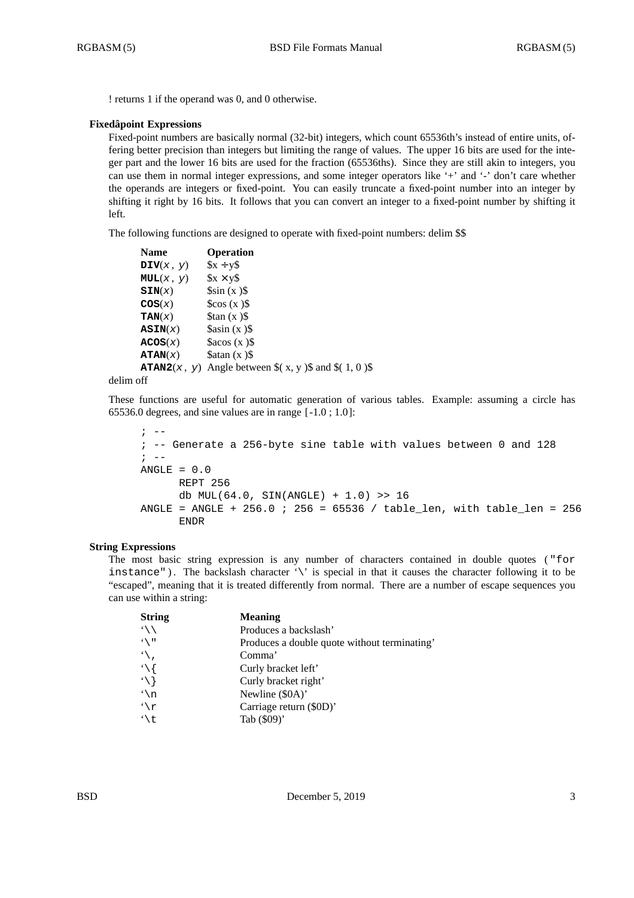! returns 1 if the operand was 0, and 0 otherwise.

# **Fixedâpoint Expressions**

Fixed-point numbers are basically normal (32-bit) integers, which count 65536th's instead of entire units, offering better precision than integers but limiting the range of values. The upper 16 bits are used for the integer part and the lower 16 bits are used for the fraction (65536ths). Since they are still akin to integers, you can use them in normal integer expressions, and some integer operators like '+' and '-' don't care whether the operands are integers or fixed-point. You can easily truncate a fixed-point number into an integer by shifting it right by 16 bits. It follows that you can convert an integer to a fixed-point number by shifting it left.

The following functions are designed to operate with fixed-point numbers: delim \$\$

| <b>Name</b>        | <b>Operation</b>                                                |
|--------------------|-----------------------------------------------------------------|
| $\text{DIV}(x, y)$ | $x + y$                                                         |
| MUL(x, y)          | $x \times y\$                                                   |
| SIN(x)             | $\sin(x)$                                                       |
| $\cos(x)$          | $\cos(x)$                                                       |
| TAN(x)             | $\frac{1}{2}$ tan (x ) \$                                       |
| $\texttt{ASIN}(x)$ | sasin(x)                                                        |
| ACOS(x)            | Sacos (x)                                                       |
| ATAN(x)            | $\delta$ atan (x) $\delta$                                      |
|                    | <b>ATAN2</b> $(x, y)$ Angle between $\{(x, y)$ and $\{(1, 0)\}$ |
|                    |                                                                 |

# delim off

These functions are useful for automatic generation of various tables. Example: assuming a circle has 65536.0 degrees, and sine values are in range [ -1.0 ; 1.0 ]:

```
\mathbf{i} \quad -; -- Generate a 256-byte sine table with values between 0 and 128
; \t - -ANGLE = 0.0REPT 256
      db MUL(64.0, SIN(ANGLE) + 1.0) >> 16
ANGLE = ANGLE + 256.0 ; 256 = 65536 / table len, with table len = 256
      ENDR
```
# **String Expressions**

The most basic string expression is any number of characters contained in double quotes ( "for instance"). The backslash character '\' is special in that it causes the character following it to be "escaped", meaning that it is treated differently from normal. There are a number of escape sequences you can use within a string:

| <b>String</b>                | <b>Meaning</b>                               |
|------------------------------|----------------------------------------------|
| $\left\langle \right\rangle$ | Produces a backslash'                        |
| $\sqrt{1}$                   | Produces a double quote without terminating' |
| $\mathcal{L}$                | Comma'                                       |
| $\mathcal{L}$                | Curly bracket left'                          |
| $\setminus$                  | Curly bracket right'                         |
| $\mathfrak{h}$               | Newline (\$0A)'                              |
| $\lq\lq$                     | Carriage return (\$0D)'                      |
| ۰\t                          | Tab (\$09)'                                  |
|                              |                                              |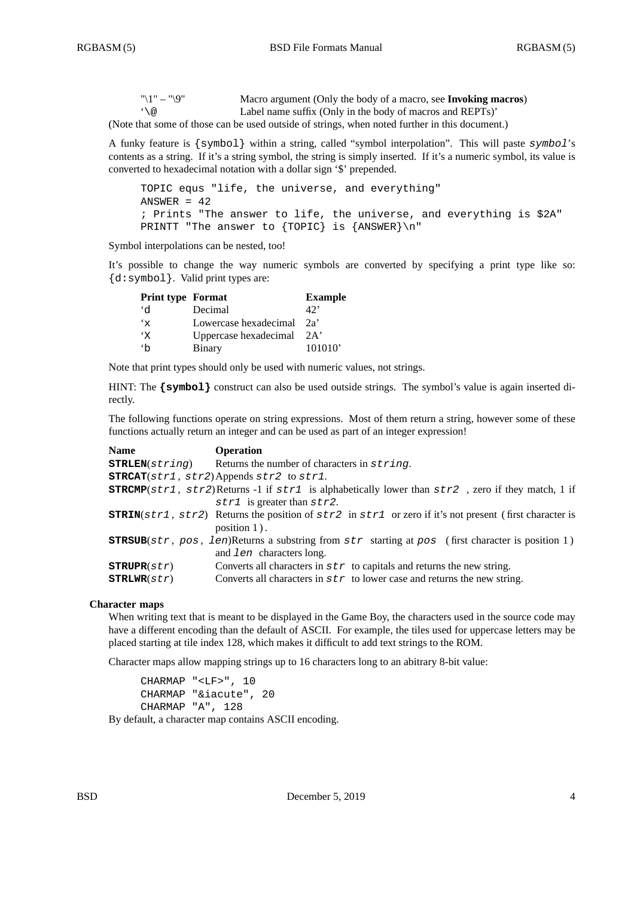| $"1" - "9"$            | Macro argument (Only the body of a macro, see Invoking macros) |
|------------------------|----------------------------------------------------------------|
| $\lq \setminus \omega$ | Label name suffix (Only in the body of macros and REPTs)'      |

(Note that some of those can be used outside of strings, when noted further in this document.)

A funky feature is {symbol} within a string, called "symbol interpolation". This will paste *symbol*'s contents as a string. If it's a string symbol, the string is simply inserted. If it's a numeric symbol, its value is converted to hexadecimal notation with a dollar sign '\$' prepended.

```
TOPIC equs "life, the universe, and everything"
ANSWER = 42; Prints "The answer to life, the universe, and everything is $2A"
PRINTT "The answer to {TOPIC} is {ANSWER}\n"
```
Symbol interpolations can be nested, too!

It's possible to change the way numeric symbols are converted by specifying a print type like so: {d:symbol}. Valid print types are:

| <b>Print type Format</b> |                       | <b>Example</b> |
|--------------------------|-----------------------|----------------|
| ۰d                       | Decimal               | $42^{\circ}$   |
| $\mathbf{x}^*$           | Lowercase hexadecimal | 2a'            |
| $\cdot_{\mathrm{x}}$     | Uppercase hexadecimal | 2A'            |
| h                        | Binary                | 101010'        |

Note that print types should only be used with numeric values, not strings.

HINT: The  $\{symbol{\text{symbol}}\}$  construct can also be used outside strings. The symbol's value is again inserted directly.

The following functions operate on string expressions. Most of them return a string, however some of these functions actually return an integer and can be used as part of an integer expression!

| <b>Name</b>               | <b>Operation</b>                                                                                                                                 |  |  |  |
|---------------------------|--------------------------------------------------------------------------------------------------------------------------------------------------|--|--|--|
| $\texttt{STRLEN}(string)$ | Returns the number of characters in string.                                                                                                      |  |  |  |
|                           | $\texttt{STRCAT}(str1, str2)$ Appends $str2$ to $str1$ .                                                                                         |  |  |  |
|                           | <b>STRCMP</b> (str1, str2)Returns -1 if str1 is alphabetically lower than $str2$ , zero if they match, 1 if                                      |  |  |  |
|                           | $str1$ is greater than $str2$ .                                                                                                                  |  |  |  |
|                           | <b>STRIN</b> $(\text{str1}, \text{str2})$ Returns the position of $\text{str2}$ in $\text{str1}$ or zero if it's not present (first character is |  |  |  |
|                           | position $1$ ).                                                                                                                                  |  |  |  |
|                           | <b>STRSUB</b> (str, pos, len)Returns a substring from str starting at pos (first character is position 1)                                        |  |  |  |
|                           | and <i>len</i> characters long.                                                                                                                  |  |  |  |
| STRUPR(str)               | Converts all characters in $str$ to capitals and returns the new string.                                                                         |  |  |  |
| STRLWR(str)               | Converts all characters in $str$ to lower case and returns the new string.                                                                       |  |  |  |

### **Character maps**

When writing text that is meant to be displayed in the Game Boy, the characters used in the source code may have a different encoding than the default of ASCII. For example, the tiles used for uppercase letters may be placed starting at tile index 128, which makes it difficult to add text strings to the ROM.

Character maps allow mapping strings up to 16 characters long to an abitrary 8-bit value:

CHARMAP "<LF>", 10 CHARMAP "&iacute", 20 CHARMAP "A", 128

By default, a character map contains ASCII encoding.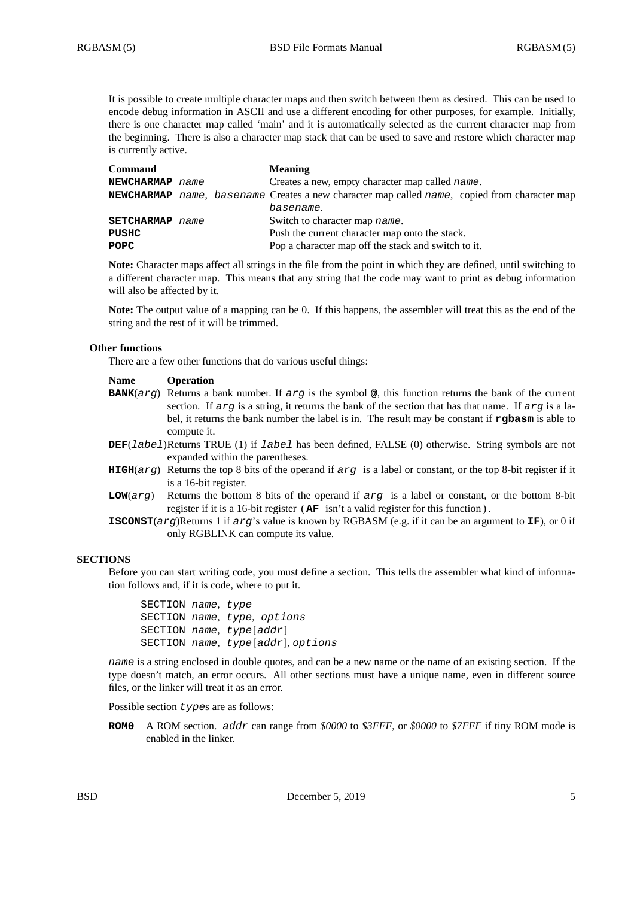It is possible to create multiple character maps and then switch between them as desired. This can be used to encode debug information in ASCII and use a different encoding for other purposes, for example. Initially, there is one character map called 'main' and it is automatically selected as the current character map from the beginning. There is also a character map stack that can be used to save and restore which character map is currently active.

| <b>Command</b>         |  | <b>Meaning</b>                                                                                      |
|------------------------|--|-----------------------------------------------------------------------------------------------------|
| NEWCHARMAP name        |  | Creates a new, empty character map called <i>name</i> .                                             |
|                        |  | <b>NEWCHARMAP</b> name, basename Creates a new character map called name, copied from character map |
|                        |  | basename.                                                                                           |
| <b>SETCHARMAP</b> name |  | Switch to character map name.                                                                       |
| <b>PUSHC</b>           |  | Push the current character map onto the stack.                                                      |
| <b>POPC</b>            |  | Pop a character map off the stack and switch to it.                                                 |

**Note:** Character maps affect all strings in the file from the point in which they are defined, until switching to a different character map. This means that any string that the code may want to print as debug information will also be affected by it.

**Note:** The output value of a mapping can be 0. If this happens, the assembler will treat this as the end of the string and the rest of it will be trimmed.

## **Other functions**

There are a few other functions that do various useful things:

#### **Name Operation**

- **BANK**(*arg*) Returns a bank number. If *arg* is the symbol **@**, this function returns the bank of the current section. If *arg* is a string, it returns the bank of the section that has that name. If *arg* is a label, it returns the bank number the label is in. The result may be constant if **rgbasm** is able to compute it.
- **DEF**(*label*)Returns TRUE (1) if *label* has been defined, FALSE (0) otherwise. String symbols are not expanded within the parentheses.
- **HIGH**(*arg*) Returns the top 8 bits of the operand if *arg* is a label or constant, or the top 8-bit register if it is a 16-bit register.
- **LOW**(*arg*) Returns the bottom 8 bits of the operand if *arg* is a label or constant, or the bottom 8-bit register if it is a 16-bit register ( **AF** isn't a valid register for this function ) .
- **ISCONST**(*arg*)Returns 1 if *arg*'s value is known by RGBASM (e.g. if it can be an argument to **IF**), or 0 if only RGBLINK can compute its value.

## **SECTIONS**

Before you can start writing code, you must define a section. This tells the assembler what kind of information follows and, if it is code, where to put it.

SECTION *name*, *type* SECTION *name*, *type*, *options* SECTION *name*, *type*[*addr*] SECTION *name*, *type*[*addr*], *options*

*name* is a string enclosed in double quotes, and can be a new name or the name of an existing section. If the type doesn't match, an error occurs. All other sections must have a unique name, even in different source files, or the linker will treat it as an error.

Possible section *type*s are as follows:

**ROM0** A ROM section. *addr* can range from *\$0000* to *\$3FFF*, or *\$0000* to *\$7FFF* if tiny ROM mode is enabled in the linker.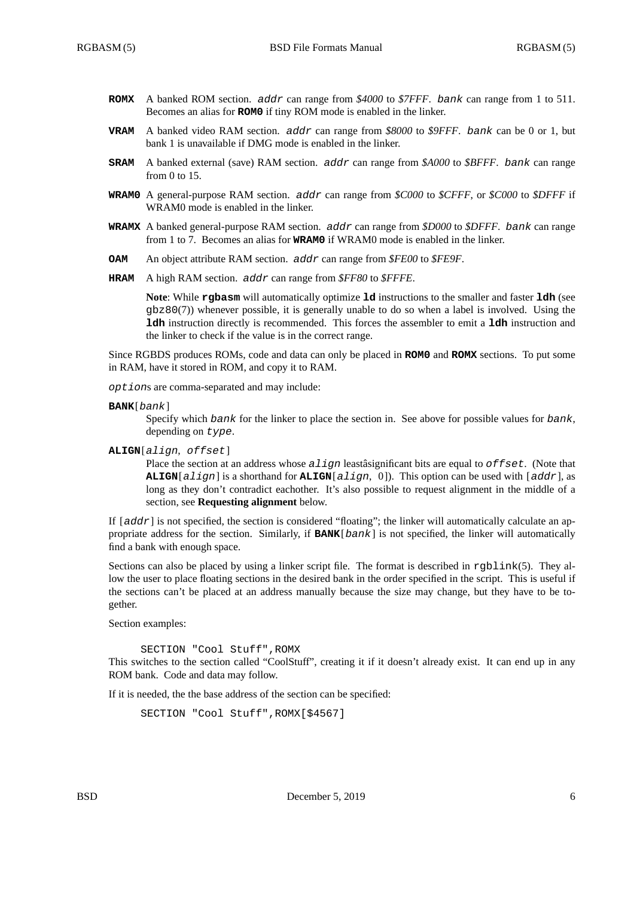- **ROMX** A banked ROM section. *addr* can range from *\$4000* to *\$7FFF*. *bank* can range from 1 to 511. Becomes an alias for **ROM0** if tiny ROM mode is enabled in the linker.
- **VRAM** A banked video RAM section. *addr* can range from *\$8000* to *\$9FFF*. *bank* can be 0 or 1, but bank 1 is unavailable if DMG mode is enabled in the linker.
- **SRAM** A banked external (save) RAM section. *addr* can range from *\$A000* to *\$BFFF*. *bank* can range from 0 to 15.
- **WRAM0** A general-purpose RAM section. *addr* can range from *\$C000* to *\$CFFF*, or *\$C000* to *\$DFFF* if WRAM0 mode is enabled in the linker.
- **WRAMX** A banked general-purpose RAM section. *addr* can range from *\$D000* to *\$DFFF*. *bank* can range from 1 to 7. Becomes an alias for **WRAM0** if WRAM0 mode is enabled in the linker.
- **OAM** An object attribute RAM section. *addr* can range from *\$FE00* to *\$FE9F*.
- **HRAM** A high RAM section. *addr* can range from *\$FF80* to *\$FFFE*.

**Note**: While **rgbasm** will automatically optimize **ld** instructions to the smaller and faster **ldh** (see gbz80(7)) whenever possible, it is generally unable to do so when a label is involved. Using the **ldh** instruction directly is recommended. This forces the assembler to emit a **ldh** instruction and the linker to check if the value is in the correct range.

Since RGBDS produces ROMs, code and data can only be placed in **ROM0** and **ROMX** sections. To put some in RAM, have it stored in ROM, and copy it to RAM.

*option*s are comma-separated and may include:

**BANK**[*bank*]

Specify which *bank* for the linker to place the section in. See above for possible values for *bank*, depending on *type*.

**ALIGN**[*align*, *offset*]

Place the section at an address whose *align* leastâsignificant bits are equal to *offset*. (Note that **ALIGN**[*align*] is a shorthand for **ALIGN**[*align*, 0 ]). This option can be used with [*addr*], as long as they don't contradict eachother. It's also possible to request alignment in the middle of a section, see **Requesting alignment** below.

If  $[addr]$  is not specified, the section is considered "floating"; the linker will automatically calculate an appropriate address for the section. Similarly, if **BANK**[*bank*] is not specified, the linker will automatically find a bank with enough space.

Sections can also be placed by using a linker script file. The format is described in rgblink(5). They allow the user to place floating sections in the desired bank in the order specified in the script. This is useful if the sections can't be placed at an address manually because the size may change, but they have to be together.

Section examples:

SECTION "Cool Stuff",ROMX

This switches to the section called "CoolStuff", creating it if it doesn't already exist. It can end up in any ROM bank. Code and data may follow.

If it is needed, the the base address of the section can be specified:

```
SECTION "Cool Stuff",ROMX[$4567]
```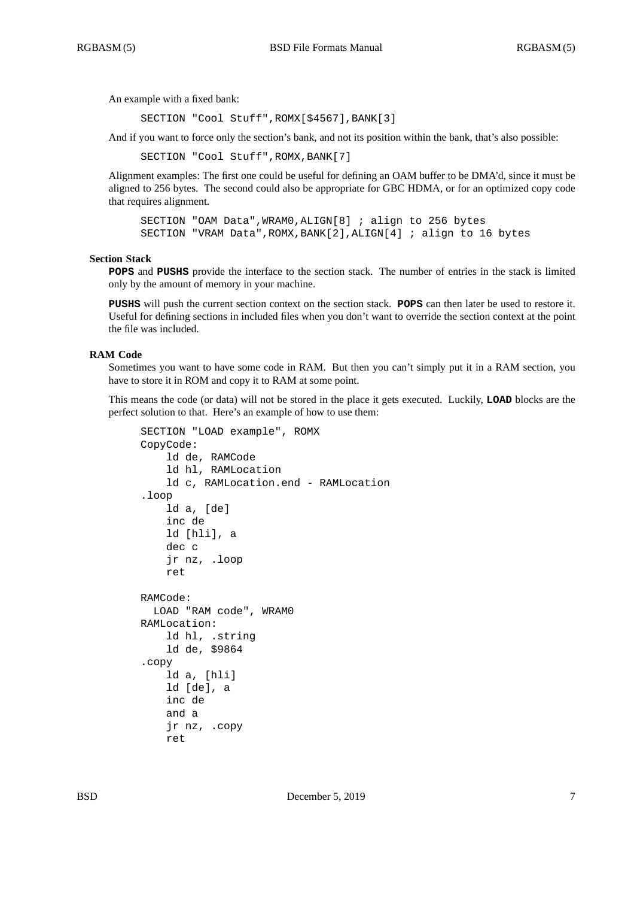An example with a fixed bank:

SECTION "Cool Stuff",ROMX[\$4567],BANK[3]

And if you want to force only the section's bank, and not its position within the bank, that's also possible:

SECTION "Cool Stuff", ROMX, BANK[7]

Alignment examples: The first one could be useful for defining an OAM buffer to be DMA'd, since it must be aligned to 256 bytes. The second could also be appropriate for GBC HDMA, or for an optimized copy code that requires alignment.

SECTION "OAM Data",WRAM0,ALIGN[8] ; align to 256 bytes SECTION "VRAM Data",ROMX,BANK[2],ALIGN[4] ; align to 16 bytes

### **Section Stack**

**POPS** and **PUSHS** provide the interface to the section stack. The number of entries in the stack is limited only by the amount of memory in your machine.

**PUSHS** will push the current section context on the section stack. **POPS** can then later be used to restore it. Useful for defining sections in included files when you don't want to override the section context at the point the file was included.

## **RAM Code**

Sometimes you want to have some code in RAM. But then you can't simply put it in a RAM section, you have to store it in ROM and copy it to RAM at some point.

This means the code (or data) will not be stored in the place it gets executed. Luckily, **LOAD** blocks are the perfect solution to that. Here's an example of how to use them:

```
SECTION "LOAD example", ROMX
CopyCode:
    ld de, RAMCode
    ld hl, RAMLocation
    ld c, RAMLocation.end - RAMLocation
.loop
    ld a, [de]
    inc de
    ld [hli], a
    dec c
    jr nz, .loop
    ret
RAMCode:
 LOAD "RAM code", WRAM0
RAMLocation:
    ld hl, .string
    ld de, $9864
.copy
    ld a, [hli]
    ld [de], a
    inc de
    and a
    jr nz, .copy
    ret
```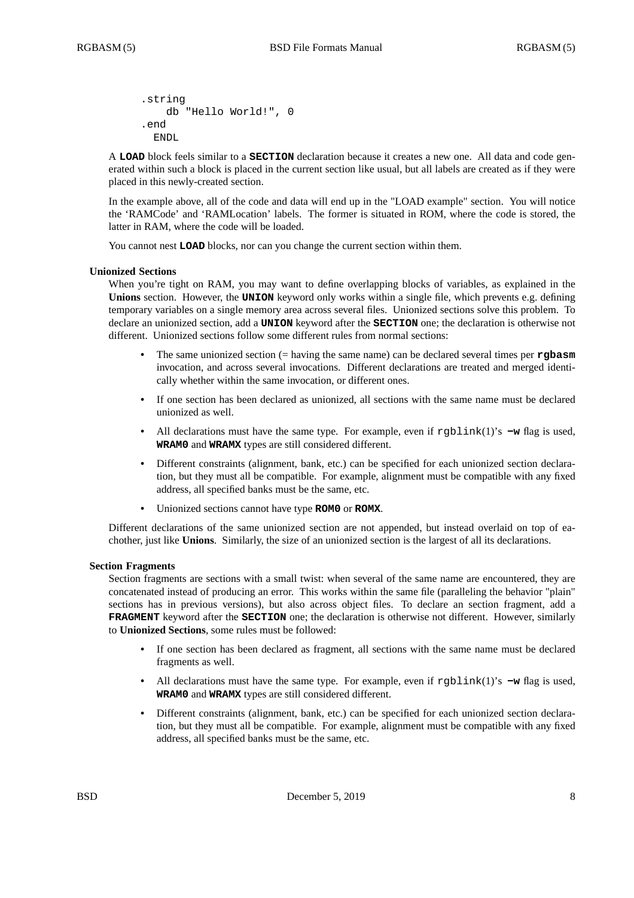```
.string
   db "Hello World!", 0
.end
 ENDL.
```
A **LOAD** block feels similar to a **SECTION** declaration because it creates a new one. All data and code generated within such a block is placed in the current section like usual, but all labels are created as if they were placed in this newly-created section.

In the example above, all of the code and data will end up in the "LOAD example" section. You will notice the 'RAMCode' and 'RAMLocation' labels. The former is situated in ROM, where the code is stored, the latter in RAM, where the code will be loaded.

You cannot nest **LOAD** blocks, nor can you change the current section within them.

## **Unionized Sections**

When you're tight on RAM, you may want to define overlapping blocks of variables, as explained in the **Unions** section. However, the **UNION** keyword only works within a single file, which prevents e.g. defining temporary variables on a single memory area across several files. Unionized sections solve this problem. To declare an unionized section, add a **UNION** keyword after the **SECTION** one; the declaration is otherwise not different. Unionized sections follow some different rules from normal sections:

- **•** The same unionized section (= having the same name) can be declared several times per **rgbasm** invocation, and across several invocations. Different declarations are treated and merged identically whether within the same invocation, or different ones.
- **•** If one section has been declared as unionized, all sections with the same name must be declared unionized as well.
- All declarations must have the same type. For example, even if  $rgblink(1)$ 's  $-w$  flag is used, **WRAM0** and **WRAMX** types are still considered different.
- Different constraints (alignment, bank, etc.) can be specified for each unionized section declaration, but they must all be compatible. For example, alignment must be compatible with any fixed address, all specified banks must be the same, etc.
- **•** Unionized sections cannot have type **ROM0** or **ROMX**.

Different declarations of the same unionized section are not appended, but instead overlaid on top of eachother, just like **Unions**. Similarly, the size of an unionized section is the largest of all its declarations.

### **Section Fragments**

Section fragments are sections with a small twist: when several of the same name are encountered, they are concatenated instead of producing an error. This works within the same file (paralleling the behavior "plain" sections has in previous versions), but also across object files. To declare an section fragment, add a **FRAGMENT** keyword after the **SECTION** one; the declaration is otherwise not different. However, similarly to **Unionized Sections**, some rules must be followed:

- **•** If one section has been declared as fragment, all sections with the same name must be declared fragments as well.
- All declarations must have the same type. For example, even if rgblink(1)'s -w flag is used, **WRAM0** and **WRAMX** types are still considered different.
- **•** Different constraints (alignment, bank, etc.) can be specified for each unionized section declaration, but they must all be compatible. For example, alignment must be compatible with any fixed address, all specified banks must be the same, etc.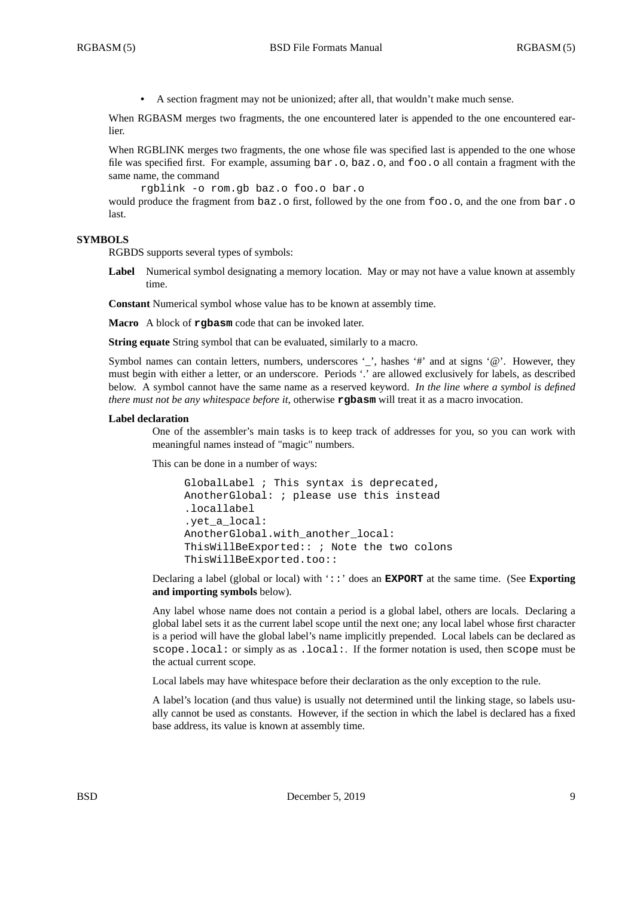**•** A section fragment may not be unionized; after all, that wouldn't make much sense.

When RGBASM merges two fragments, the one encountered later is appended to the one encountered earlier.

When RGBLINK merges two fragments, the one whose file was specified last is appended to the one whose file was specified first. For example, assuming bar.o, baz.o, and foo.o all contain a fragment with the same name, the command

```
rgblink -o rom.gb baz.o foo.o bar.o
```
would produce the fragment from  $\text{baz.o}$  first, followed by the one from foo.o, and the one from  $\text{bar.o}$ .o last.

# **SYMBOLS**

RGBDS supports several types of symbols:

**Label** Numerical symbol designating a memory location. May or may not have a value known at assembly time.

**Constant** Numerical symbol whose value has to be known at assembly time.

**Macro** A block of **rgbasm** code that can be invoked later.

**String equate** String symbol that can be evaluated, similarly to a macro.

Symbol names can contain letters, numbers, underscores '\_', hashes '#' and at signs '@'. However, they must begin with either a letter, or an underscore. Periods '.' are allowed exclusively for labels, as described below. A symbol cannot have the same name as a reserved keyword. *In the line where a symbol is defined there must not be any whitespace before it*, otherwise **rgbasm** will treat it as a macro invocation.

#### **Label declaration**

One of the assembler's main tasks is to keep track of addresses for you, so you can work with meaningful names instead of "magic" numbers.

This can be done in a number of ways:

GlobalLabel ; This syntax is deprecated, AnotherGlobal: ; please use this instead .locallabel .yet\_a\_local: AnotherGlobal.with\_another\_local: ThisWillBeExported:: ; Note the two colons ThisWillBeExported.too::

Declaring a label (global or local) with '::' does an **EXPORT** at the same time. (See **Exporting and importing symbols** below).

Any label whose name does not contain a period is a global label, others are locals. Declaring a global label sets it as the current label scope until the next one; any local label whose first character is a period will have the global label's name implicitly prepended. Local labels can be declared as scope.local: or simply as as .local:. If the former notation is used, then scope must be the actual current scope.

Local labels may have whitespace before their declaration as the only exception to the rule.

A label's location (and thus value) is usually not determined until the linking stage, so labels usually cannot be used as constants. However, if the section in which the label is declared has a fixed base address, its value is known at assembly time.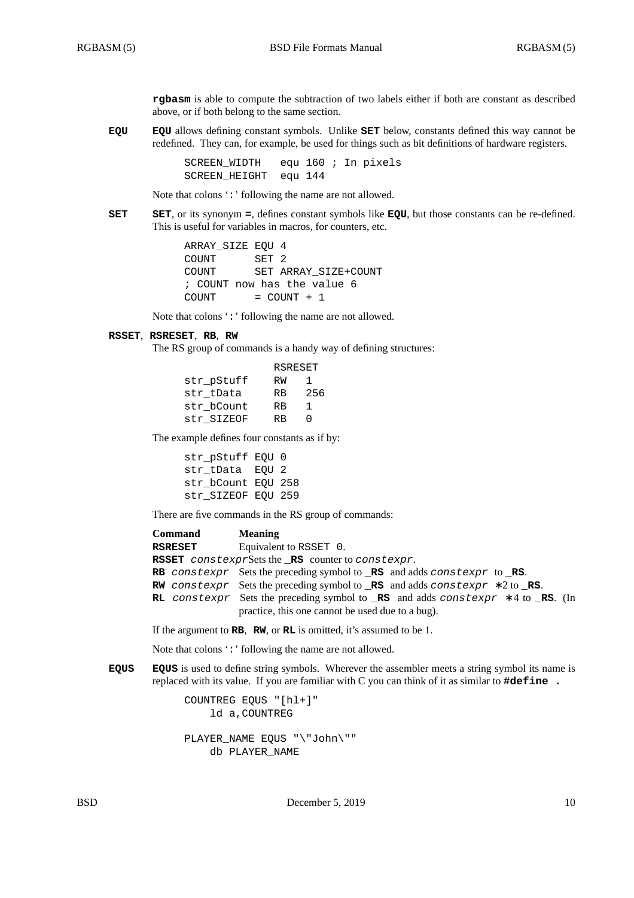**rgbasm** is able to compute the subtraction of two labels either if both are constant as described above, or if both belong to the same section.

**EQU EQU** allows defining constant symbols. Unlike **SET** below, constants defined this way cannot be redefined. They can, for example, be used for things such as bit definitions of hardware registers.

> SCREEN\_WIDTH equ 160 ; In pixels SCREEN\_HEIGHT equ 144

Note that colons ':' following the name are not allowed.

**SET SET**, or its synonym **=**, defines constant symbols like **EQU**, but those constants can be re-defined. This is useful for variables in macros, for counters, etc.

> ARRAY\_SIZE EQU 4 COUNT SET 2 COUNT SET ARRAY\_SIZE+COUNT ; COUNT now has the value 6  $COUNT = COUNT + 1$

Note that colons ':' following the name are not allowed.

# **RSSET**, **RSRESET**, **RB**, **RW**

The RS group of commands is a handy way of defining structures:

|            | <b>RSRESET</b> |     |
|------------|----------------|-----|
| str pStuff | RW             | ı   |
| str tData  | <b>RB</b>      | 256 |
| str bCount | <b>RB</b>      | ı   |
| str SIZEOF | RR             | U   |

The example defines four constants as if by:

str\_pStuff EQU 0 str tData EQU 2 str\_bCount EQU 258 str\_SIZEOF EQU 259

There are five commands in the RS group of commands:

| <b>Command</b> | <b>Meaning</b>                                                                                                                                             |
|----------------|------------------------------------------------------------------------------------------------------------------------------------------------------------|
| RSRESET        | Equivalent to RSSET 0.                                                                                                                                     |
|                | <b>RSSET</b> constexprSets the RS counter to constexpr.                                                                                                    |
|                | <b>RB</b> constexpr Sets the preceding symbol to $\Box$ <b>RS</b> and adds constexpr to $\Box$ <b>RS</b> .                                                 |
|                | <b>RW</b> constexpr Sets the preceding symbol to <b>RS</b> and adds constexpr $*2$ to <b>RS</b> .                                                          |
|                | <b>RL</b> constexpr Sets the preceding symbol to <b>RS</b> and adds constexpr $*$ 4 to <b>RS</b> . (In<br>practice, this one cannot be used due to a bug). |
|                |                                                                                                                                                            |

If the argument to **RB**, **RW**, or **RL** is omitted, it's assumed to be 1.

Note that colons ':' following the name are not allowed.

**EQUS EQUS** is used to define string symbols. Wherever the assembler meets a string symbol its name is replaced with its value. If you are familiar with C you can think of it as similar to **#define .**

> COUNTREG EQUS "[hl+]" ld a,COUNTREG PLAYER\_NAME EQUS "\"John\"" db PLAYER\_NAME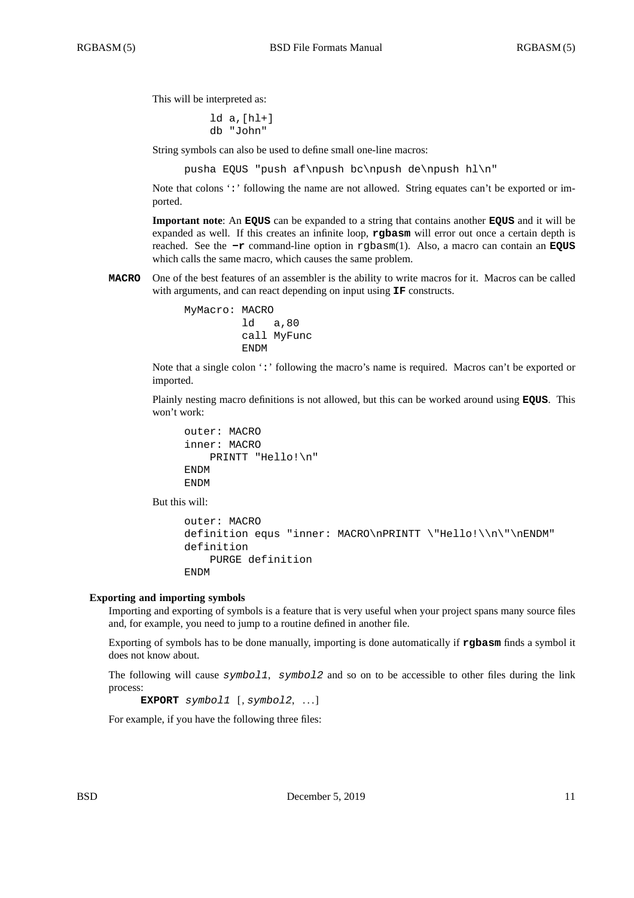This will be interpreted as:

ld a,[hl+] db "John"

String symbols can also be used to define small one-line macros:

pusha EQUS "push af\npush bc\npush de\npush hl\n"

Note that colons ':' following the name are not allowed. String equates can't be exported or imported.

**Important note**: An **EQUS** can be expanded to a string that contains another **EQUS** and it will be expanded as well. If this creates an infinite loop, **rgbasm** will error out once a certain depth is reached. See the **-r** command-line option in rgbasm(1). Also, a macro can contain an **EQUS** which calls the same macro, which causes the same problem.

**MACRO** One of the best features of an assembler is the ability to write macros for it. Macros can be called with arguments, and can react depending on input using **IF** constructs.

```
MyMacro: MACRO
         ld a,80
         call MyFunc
         ENDM
```
Note that a single colon ':' following the macro's name is required. Macros can't be exported or imported.

Plainly nesting macro definitions is not allowed, but this can be worked around using **EQUS**. This won't work:

```
outer: MACRO
inner: MACRO
   PRINTT "Hello!\n"
ENDM
ENDM
```
But this will:

```
outer: MACRO
definition equs "inner: MACRO\nPRINTT \"Hello!\\n\"\nENDM"
definition
   PURGE definition
ENDM
```
### **Exporting and importing symbols**

Importing and exporting of symbols is a feature that is very useful when your project spans many source files and, for example, you need to jump to a routine defined in another file.

Exporting of symbols has to be done manually, importing is done automatically if **rgbasm** finds a symbol it does not know about.

The following will cause *symbol1*, *symbol2* and so on to be accessible to other files during the link process:

```
EXPORT symbol1 [, symbol2, . . . ]
```
For example, if you have the following three files: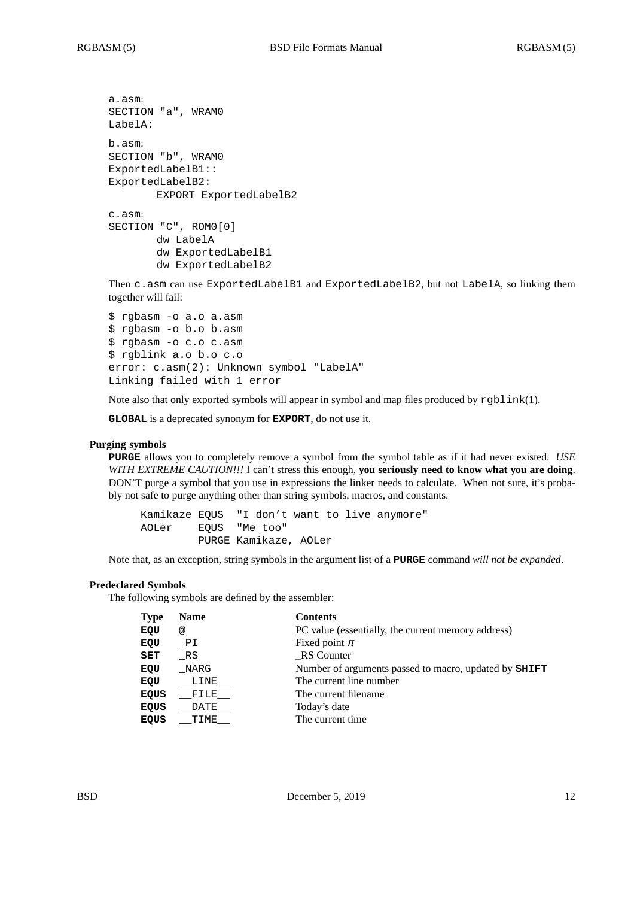```
a.asm:
SECTION "a", WRAM0
LabelA:
b.asm:
SECTION "b", WRAM0
ExportedLabelB1::
ExportedLabelB2:
       EXPORT ExportedLabelB2
c.asm:
SECTION "C", ROM0[0]
       dw LabelA
       dw ExportedLabelB1
       dw ExportedLabelB2
```
Then c.asm can use ExportedLabelB1 and ExportedLabelB2, but not LabelA, so linking them together will fail:

```
$ rgbasm -o a.o a.asm
$ rgbasm -o b.o b.asm
$ rgbasm -o c.o c.asm
$ rgblink a.o b.o c.o
error: c.asm(2): Unknown symbol "LabelA"
Linking failed with 1 error
```
Note also that only exported symbols will appear in symbol and map files produced by rgblink(1).

**GLOBAL** is a deprecated synonym for **EXPORT**, do not use it.

### **Purging symbols**

**PURGE** allows you to completely remove a symbol from the symbol table as if it had never existed. *USE WITH EXTREME CAUTION!!!* I can't stress this enough, **you seriously need to know what you are doing**. DON'T purge a symbol that you use in expressions the linker needs to calculate. When not sure, it's probably not safe to purge anything other than string symbols, macros, and constants.

Kamikaze EQUS "I don't want to live anymore" AOLer EQUS "Me too" PURGE Kamikaze, AOLer

Note that, as an exception, string symbols in the argument list of a **PURGE** command *will not be expanded*.

#### **Predeclared Symbols**

The following symbols are defined by the assembler:

| <b>Type</b> | <b>Name</b> | <b>Contents</b>                                              |
|-------------|-------------|--------------------------------------------------------------|
| EQU         | @           | PC value (essentially, the current memory address)           |
| EQU         | PI          | Fixed point $\pi$                                            |
| SET         | RS          | RS Counter                                                   |
| EQU         | NARG        | Number of arguments passed to macro, updated by <b>SHIFT</b> |
| EQU         | LINE        | The current line number                                      |
| <b>EQUS</b> | FILE        | The current filename.                                        |
| <b>EQUS</b> | DATE        | Today's date                                                 |
| <b>EQUS</b> | TIME        | The current time.                                            |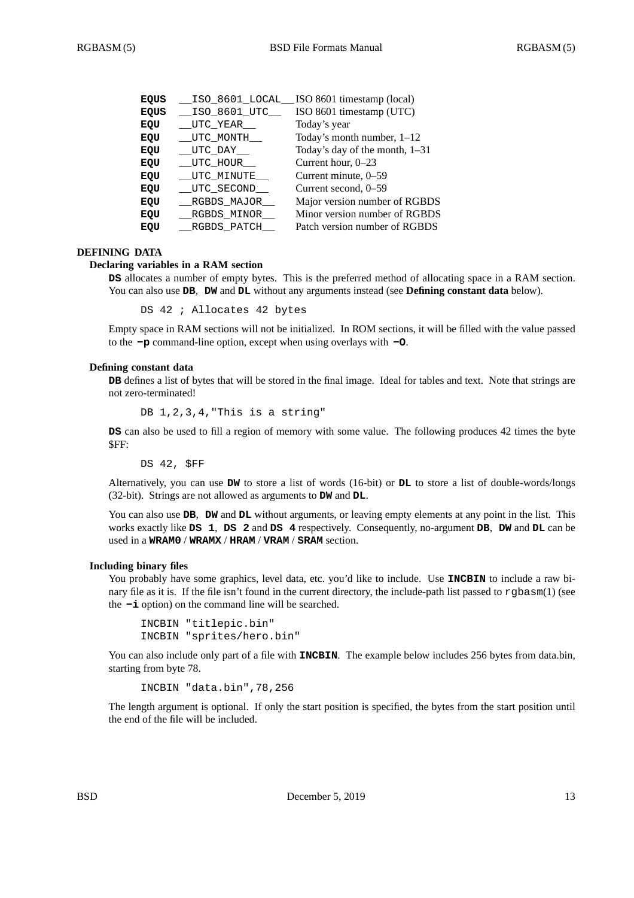| EQUS | ISO 8601 LOCAL | ISO 8601 timestamp (local)     |
|------|----------------|--------------------------------|
| EQUS | _ISO_8601_UTC_ | ISO 8601 timestamp (UTC)       |
| EQU  | UTC YEAR       | Today's year                   |
| EQU  | __UTC_MONTH___ | Today's month number, $1-12$   |
| EQU  | UTC DAY        | Today's day of the month, 1-31 |
| EQU  | UTC HOUR       | Current hour, $0-23$           |
| EQU  | UTC MINUTE     | Current minute, 0-59           |
| EQU  | UTC SECOND     | Current second, 0–59           |
| EQU  | RGBDS MAJOR    | Major version number of RGBDS  |
| EQU  | RGBDS_MINOR__  | Minor version number of RGBDS  |
| EQU  | RGBDS PATCH    | Patch version number of RGBDS  |
|      |                |                                |

# **DEFINING DATA**

### **Declaring variables in a RAM section**

**DS** allocates a number of empty bytes. This is the preferred method of allocating space in a RAM section. You can also use **DB**, **DW** and **DL** without any arguments instead (see **Defining constant data** below).

DS 42 ; Allocates 42 bytes

Empty space in RAM sections will not be initialized. In ROM sections, it will be filled with the value passed to the **-p** command-line option, except when using overlays with **-O**.

#### **Defining constant data**

**DB** defines a list of bytes that will be stored in the final image. Ideal for tables and text. Note that strings are not zero-terminated!

DB 1, 2, 3, 4, "This is a string"

**DS** can also be used to fill a region of memory with some value. The following produces 42 times the byte  $SFF$ 

DS 42, \$FF

Alternatively, you can use **DW** to store a list of words (16-bit) or **DL** to store a list of double-words/longs (32-bit). Strings are not allowed as arguments to **DW** and **DL**.

You can also use **DB**, **DW** and **DL** without arguments, or leaving empty elements at any point in the list. This works exactly like **DS 1**, **DS 2** and **DS 4** respectively. Consequently, no-argument **DB**, **DW** and **DL** can be used in a **WRAM0** / **WRAMX** / **HRAM** / **VRAM** / **SRAM** section.

## **Including binary files**

You probably have some graphics, level data, etc. you'd like to include. Use **INCBIN** to include a raw binary file as it is. If the file isn't found in the current directory, the include-path list passed to rgbasm(1) (see the **-i** option) on the command line will be searched.

INCBIN "titlepic.bin" INCBIN "sprites/hero.bin"

You can also include only part of a file with **INCBIN**. The example below includes 256 bytes from data.bin, starting from byte 78.

INCBIN "data.bin",78,256

The length argument is optional. If only the start position is specified, the bytes from the start position until the end of the file will be included.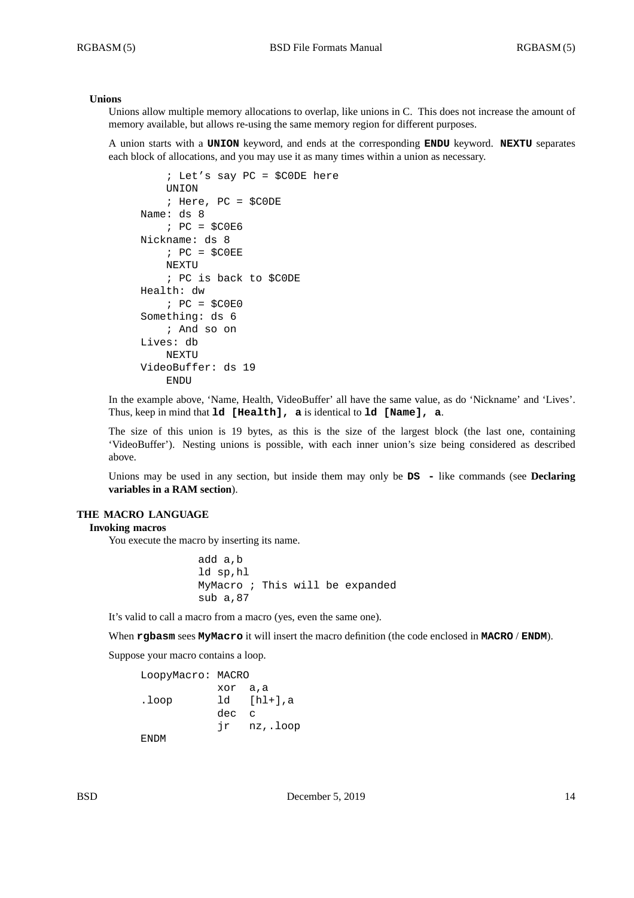## **Unions**

Unions allow multiple memory allocations to overlap, like unions in C. This does not increase the amount of memory available, but allows re-using the same memory region for different purposes.

A union starts with a **UNION** keyword, and ends at the corresponding **ENDU** keyword. **NEXTU** separates each block of allocations, and you may use it as many times within a union as necessary.

```
; Let's say PC = $C0DE here
    UNION
    ; Here, PC = $C0DE
Name: ds 8
    ; PC = $C0E6
Nickname: ds 8
    ; PC = \$COEENEXTU
    ; PC is back to $C0DE
Health: dw
    ; PC = $C0E0
Something: ds 6
    ; And so on
Lives: db
    NEXTU
VideoBuffer: ds 19
    ENDU
```
In the example above, 'Name, Health, VideoBuffer' all have the same value, as do 'Nickname' and 'Lives'. Thus, keep in mind that **ld [Health], a** is identical to **ld [Name], a**.

The size of this union is 19 bytes, as this is the size of the largest block (the last one, containing 'VideoBuffer'). Nesting unions is possible, with each inner union's size being considered as described above.

Unions may be used in any section, but inside them may only be **DS -** like commands (see **Declaring variables in a RAM section**).

## **THE MACRO LANGUAGE**

### **Invoking macros**

You execute the macro by inserting its name.

add a,b ld sp,hl MyMacro ; This will be expanded sub a,87

It's valid to call a macro from a macro (yes, even the same one).

When **rgbasm** sees **MyMacro** it will insert the macro definition (the code enclosed in **MACRO** / **ENDM**).

Suppose your macro contains a loop.

```
LoopyMacro: MACRO
          xor a,a
.loop ld [hl+],a
          dec c
          jr nz,.loop
```
ENDM

BSD December 5, 2019 14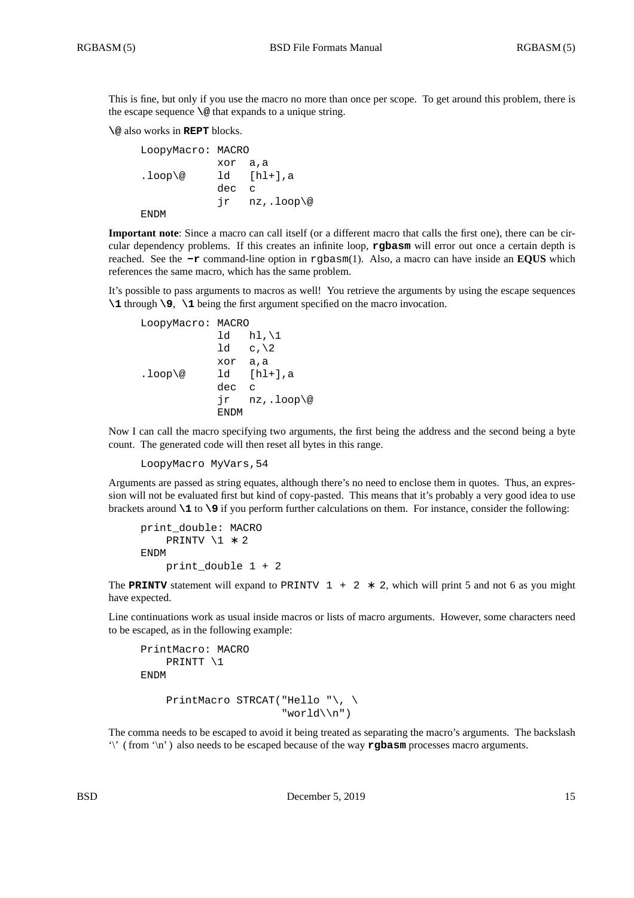This is fine, but only if you use the macro no more than once per scope. To get around this problem, there is the escape sequence **\@** that expands to a unique string.

### **\@** also works in **REPT** blocks.

```
LoopyMacro: MACRO
          xor a,a
lloop@ ld [hl+], a
          dec c
           jr nz,.loop\@
ENDM
```
**Important note**: Since a macro can call itself (or a different macro that calls the first one), there can be circular dependency problems. If this creates an infinite loop, **rgbasm** will error out once a certain depth is reached. See the **-r** command-line option in rgbasm(1). Also, a macro can have inside an **EQUS** which references the same macro, which has the same problem.

It's possible to pass arguments to macros as well! You retrieve the arguments by using the escape sequences **\1** through **\9**, **\1** being the first argument specified on the macro invocation.

```
LoopyMacro: MACRO
            ld hl, \1
            ld \ c, \lambda 2xor a,a
lloop@ ld [hl+], a
           dec c
            jr nz,.loop\@
            ENDM
```
Now I can call the macro specifying two arguments, the first being the address and the second being a byte count. The generated code will then reset all bytes in this range.

LoopyMacro MyVars,54

Arguments are passed as string equates, although there's no need to enclose them in quotes. Thus, an expression will not be evaluated first but kind of copy-pasted. This means that it's probably a very good idea to use brackets around **\1** to **\9** if you perform further calculations on them. For instance, consider the following:

```
print_double: MACRO
    PRINTV \1 ∗ 2
ENDM
    print_double 1 + 2
```
The **PRINTV** statement will expand to PRINTV  $1 + 2 * 2$ , which will print 5 and not 6 as you might have expected.

Line continuations work as usual inside macros or lists of macro arguments. However, some characters need to be escaped, as in the following example:

```
PrintMacro: MACRO
    PRINTT \1
ENDM
    PrintMacro STRCAT("Hello "\, \
                       "world\\n")
```
The comma needs to be escaped to avoid it being treated as separating the macro's arguments. The backslash '\' ( from '\n' ) also needs to be escaped because of the way **rgbasm** processes macro arguments.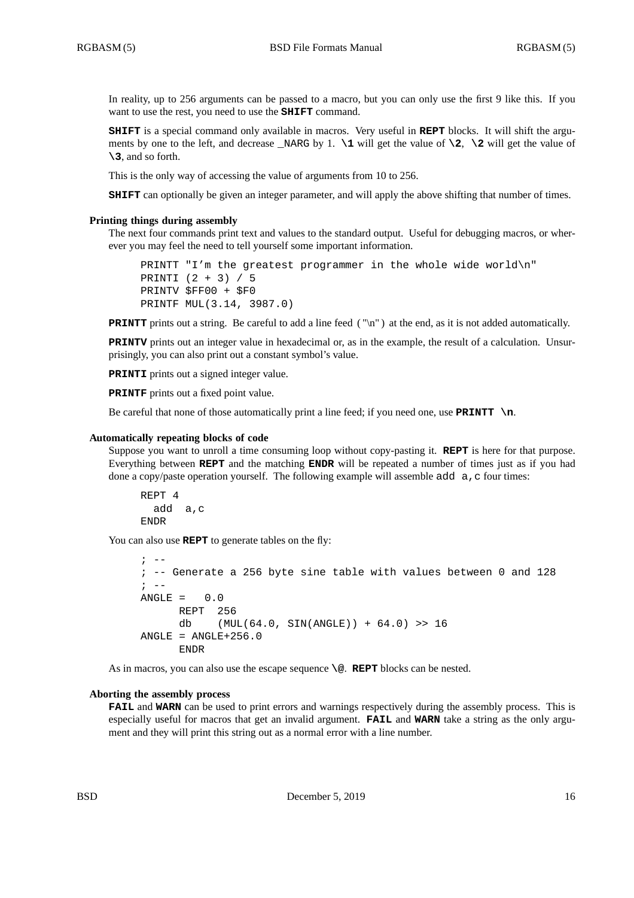In reality, up to 256 arguments can be passed to a macro, but you can only use the first 9 like this. If you want to use the rest, you need to use the **SHIFT** command.

**SHIFT** is a special command only available in macros. Very useful in **REPT** blocks. It will shift the arguments by one to the left, and decrease \_NARG by 1.  $\lceil \cdot \cdot \rceil$  will get the value of  $\lceil \cdot \rceil$ ,  $\lceil \cdot \cdot \rceil$  and  $\lceil \cdot \rceil$ **\3**, and so forth.

This is the only way of accessing the value of arguments from 10 to 256.

**SHIFT** can optionally be given an integer parameter, and will apply the above shifting that number of times.

### **Printing things during assembly**

The next four commands print text and values to the standard output. Useful for debugging macros, or wherever you may feel the need to tell yourself some important information.

```
PRINTT "I'm the greatest programmer in the whole wide world\n"
PRINTI (2 + 3) / 5
PRINTV $FF00 + $F0
PRINTF MUL(3.14, 3987.0)
```
**PRINTT** prints out a string. Be careful to add a line feed ("\n") at the end, as it is not added automatically.

**PRINTV** prints out an integer value in hexadecimal or, as in the example, the result of a calculation. Unsurprisingly, you can also print out a constant symbol's value.

**PRINTI** prints out a signed integer value.

**PRINTF** prints out a fixed point value.

Be careful that none of those automatically print a line feed; if you need one, use **PRINTT** \n.

### **Automatically repeating blocks of code**

Suppose you want to unroll a time consuming loop without copy-pasting it. **REPT** is here for that purpose. Everything between **REPT** and the matching **ENDR** will be repeated a number of times just as if you had done a copy/paste operation yourself. The following example will assemble add  $\alpha$ , c four times:

REPT 4 add a,c ENDR

You can also use **REPT** to generate tables on the fly:

```
\cdot --
; -- Generate a 256 byte sine table with values between 0 and 128
\mathbf{i} \quad -ANGLE = 0.0REPT 256
      db (MUL(64.0, SIN(ANGLE)) + 64.0) >> 16
ANGLE = ANGLE+256.0ENDR
```
As in macros, you can also use the escape sequence **\@**. **REPT** blocks can be nested.

#### **Aborting the assembly process**

**FAIL** and **WARN** can be used to print errors and warnings respectively during the assembly process. This is especially useful for macros that get an invalid argument. **FAIL** and **WARN** take a string as the only argument and they will print this string out as a normal error with a line number.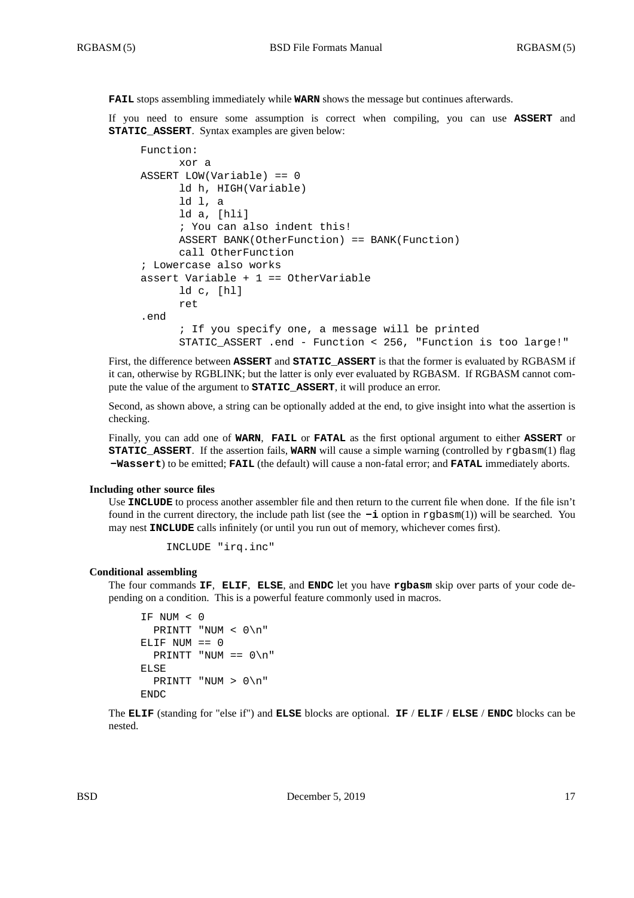**FAIL** stops assembling immediately while **WARN** shows the message but continues afterwards.

If you need to ensure some assumption is correct when compiling, you can use **ASSERT** and **STATIC\_ASSERT**. Syntax examples are given below:

```
Function:
     xor a
ASSERT LOW(Variable) == 0
     ld h, HIGH(Variable)
      ld l, a
      ld a, [hli]
      ; You can also indent this!
      ASSERT BANK(OtherFunction) == BANK(Function)
      call OtherFunction
; Lowercase also works
assert Variable + 1 == OtherVariable
      ld c, [hl]
      ret
.end
      ; If you specify one, a message will be printed
      STATIC_ASSERT .end - Function < 256, "Function is too large!"
```
First, the difference between **ASSERT** and **STATIC\_ASSERT** is that the former is evaluated by RGBASM if it can, otherwise by RGBLINK; but the latter is only ever evaluated by RGBASM. If RGBASM cannot compute the value of the argument to **STATIC\_ASSERT**, it will produce an error.

Second, as shown above, a string can be optionally added at the end, to give insight into what the assertion is checking.

Finally, you can add one of **WARN**, **FAIL** or **FATAL** as the first optional argument to either **ASSERT** or **STATIC\_ASSERT.** If the assertion fails, **WARN** will cause a simple warning (controlled by rgbasm(1) flag **-Wassert**) to be emitted; **FAIL** (the default) will cause a non-fatal error; and **FATAL** immediately aborts.

#### **Including other source files**

Use **INCLUDE** to process another assembler file and then return to the current file when done. If the file isn't found in the current directory, the include path list (see the **-i** option in rgbasm(1)) will be searched. You may nest **INCLUDE** calls infinitely (or until you run out of memory, whichever comes first).

INCLUDE "irq.inc"

### **Conditional assembling**

The four commands **IF**, **ELIF**, **ELSE**, and **ENDC** let you have **rgbasm** skip over parts of your code depending on a condition. This is a powerful feature commonly used in macros.

```
IF NUM < 0
  PRINTT "NUM < 0\n"
ELIF NUM == 0PRINTT "NUM == 0 \n\ln"
ELSE
  PRINTT "NUM > 0\n"
ENDC
```
The **ELIF** (standing for "else if") and **ELSE** blocks are optional. **IF** / **ELIF** / **ELSE** / **ENDC** blocks can be nested.